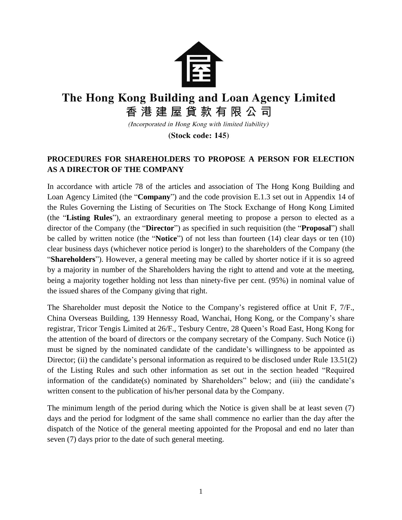

## The Hong Kong Building and Loan Agency Limited 香港建屋貸款有限公司

(Incorporated in Hong Kong with limited liability)

(Stock code: 145)

## **PROCEDURES FOR SHAREHOLDERS TO PROPOSE A PERSON FOR ELECTION AS A DIRECTOR OF THE COMPANY**

In accordance with article 78 of the articles and association of The Hong Kong Building and Loan Agency Limited (the "**Company**") and the code provision E.1.3 set out in Appendix 14 of the Rules Governing the Listing of Securities on The Stock Exchange of Hong Kong Limited (the "**Listing Rules**"), an extraordinary general meeting to propose a person to elected as a director of the Company (the "**Director**") as specified in such requisition (the "**Proposal**") shall be called by written notice (the "**Notice**") of not less than fourteen (14) clear days or ten (10) clear business days (whichever notice period is longer) to the shareholders of the Company (the "**Shareholders**"). However, a general meeting may be called by shorter notice if it is so agreed by a majority in number of the Shareholders having the right to attend and vote at the meeting, being a majority together holding not less than ninety-five per cent. (95%) in nominal value of the issued shares of the Company giving that right.

The Shareholder must deposit the Notice to the Company's registered office at Unit F, 7/F., China Overseas Building, 139 Hennessy Road, Wanchai, Hong Kong, or the Company's share registrar, Tricor Tengis Limited at 26/F., Tesbury Centre, 28 Queen's Road East, Hong Kong for the attention of the board of directors or the company secretary of the Company. Such Notice (i) must be signed by the nominated candidate of the candidate's willingness to be appointed as Director; (ii) the candidate's personal information as required to be disclosed under Rule 13.51(2) of the Listing Rules and such other information as set out in the section headed "Required information of the candidate(s) nominated by Shareholders" below; and (iii) the candidate's written consent to the publication of his/her personal data by the Company.

The minimum length of the period during which the Notice is given shall be at least seven (7) days and the period for lodgment of the same shall commence no earlier than the day after the dispatch of the Notice of the general meeting appointed for the Proposal and end no later than seven (7) days prior to the date of such general meeting.